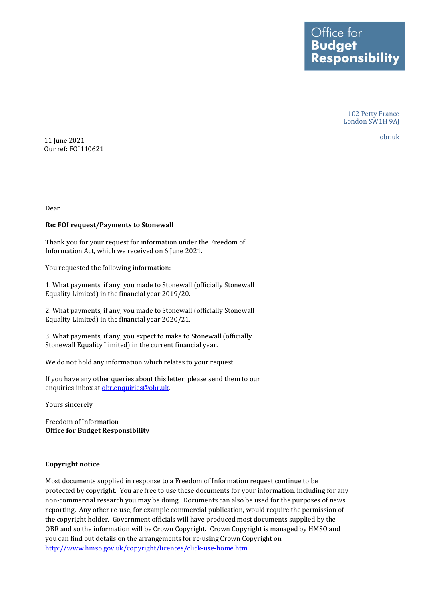Ottice for **Budget Responsibility** 

> 102 Petty France London SW1H 9AJ

obr.uk <sup>11</sup> June 2021 Our ref: FOI110621

Dear

## **Re: FOI request/Payments to Stonewall**

 Information Act, which we received on 6 June 2021. Thank you for your request for information under the Freedom of

You requested the following information:

1. What payments, if any, you made to Stonewall (officially Stonewall Equality Limited) in the financial year 2019/20.

2. What payments, if any, you made to Stonewall (officially Stonewall Equality Limited) in the financial year 2020/21.

3. What payments, if any, you expect to make to Stonewall (officially Stonewall Equality Limited) in the current financial year.

We do not hold any information which relates to your request.

If you have any other queries about this letter, please send them to our enquiries inbox at [obr.enquiries@obr.uk.](mailto:obr.enquiries@obr.uk)

Yours sincerely

 **Office for Budget Responsibility** Freedom of Information

## **Copyright notice**

 protected by copyright. You are free to use these documents for your information, including for any Most documents supplied in response to a Freedom of Information request continue to be non-commercial research you may be doing. Documents can also be used for the purposes of news reporting. Any other re-use, for example commercial publication, would require the permission of the copyright holder. Government officials will have produced most documents supplied by the OBR and so the information will be Crown Copyright. Crown Copyright is managed by HMSO and you can find out details on the arrangements for re-using Crown Copyright on <http://www.hmso.gov.uk/copyright/licences/click-use-home.htm>